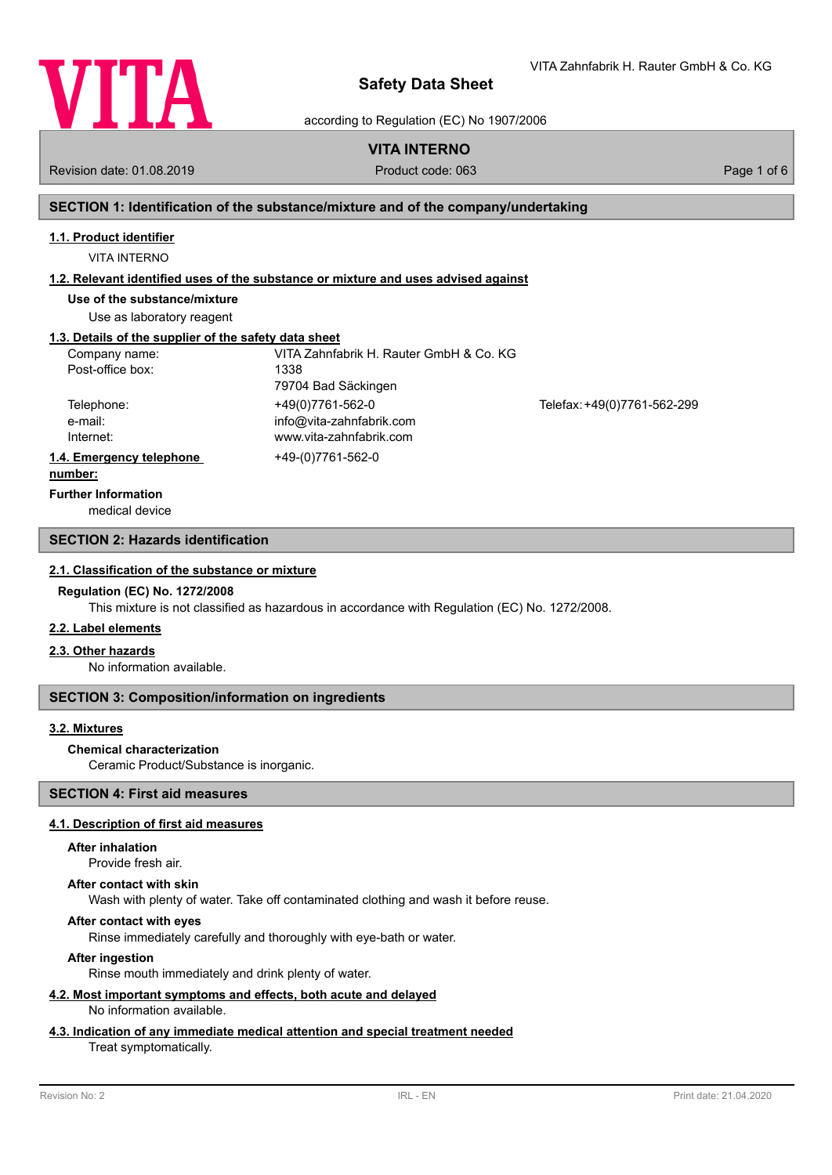

VITA Zahnfabrik H. Rauter GmbH & Co. KG

according to Regulation (EC) No 1907/2006

# **VITA INTERNO**

Revision date: 01.08.2019 Product code: 063 Page 1 of 6

# **SECTION 1: Identification of the substance/mixture and of the company/undertaking**

#### **1.1. Product identifier**

VITA INTERNO

#### **1.2. Relevant identified uses of the substance or mixture and uses advised against**

**Use of the substance/mixture**

Use as laboratory reagent

## **1.3. Details of the supplier of the safety data sheet**

| Company name:            | VITA Zahnfabrik H. Rauter GmbH & Co. KG |                             |
|--------------------------|-----------------------------------------|-----------------------------|
| Post-office box:         | 1338                                    |                             |
|                          | 79704 Bad Säckingen                     |                             |
| Telephone:               | +49(0)7761-562-0                        | Telefax: +49(0)7761-562-299 |
| e-mail:                  | info@vita-zahnfabrik.com                |                             |
| Internet:                | www.vita-zahnfabrik.com                 |                             |
| 1.4. Emergency telephone | +49-(0)7761-562-0                       |                             |
|                          |                                         |                             |

#### **number:**

**Further Information**

medical device

#### **SECTION 2: Hazards identification**

#### **2.1. Classification of the substance or mixture**

#### **Regulation (EC) No. 1272/2008**

This mixture is not classified as hazardous in accordance with Regulation (EC) No. 1272/2008.

#### **2.2. Label elements**

#### **2.3. Other hazards**

No information available.

## **SECTION 3: Composition/information on ingredients**

## **3.2. Mixtures**

#### **Chemical characterization**

Ceramic Product/Substance is inorganic.

# **SECTION 4: First aid measures**

#### **4.1. Description of first aid measures**

#### **After inhalation**

Provide fresh air.

#### **After contact with skin**

Wash with plenty of water. Take off contaminated clothing and wash it before reuse.

## **After contact with eyes**

Rinse immediately carefully and thoroughly with eye-bath or water.

## **After ingestion**

Rinse mouth immediately and drink plenty of water.

#### **4.2. Most important symptoms and effects, both acute and delayed** No information available.

#### **4.3. Indication of any immediate medical attention and special treatment needed**

#### Treat symptomatically.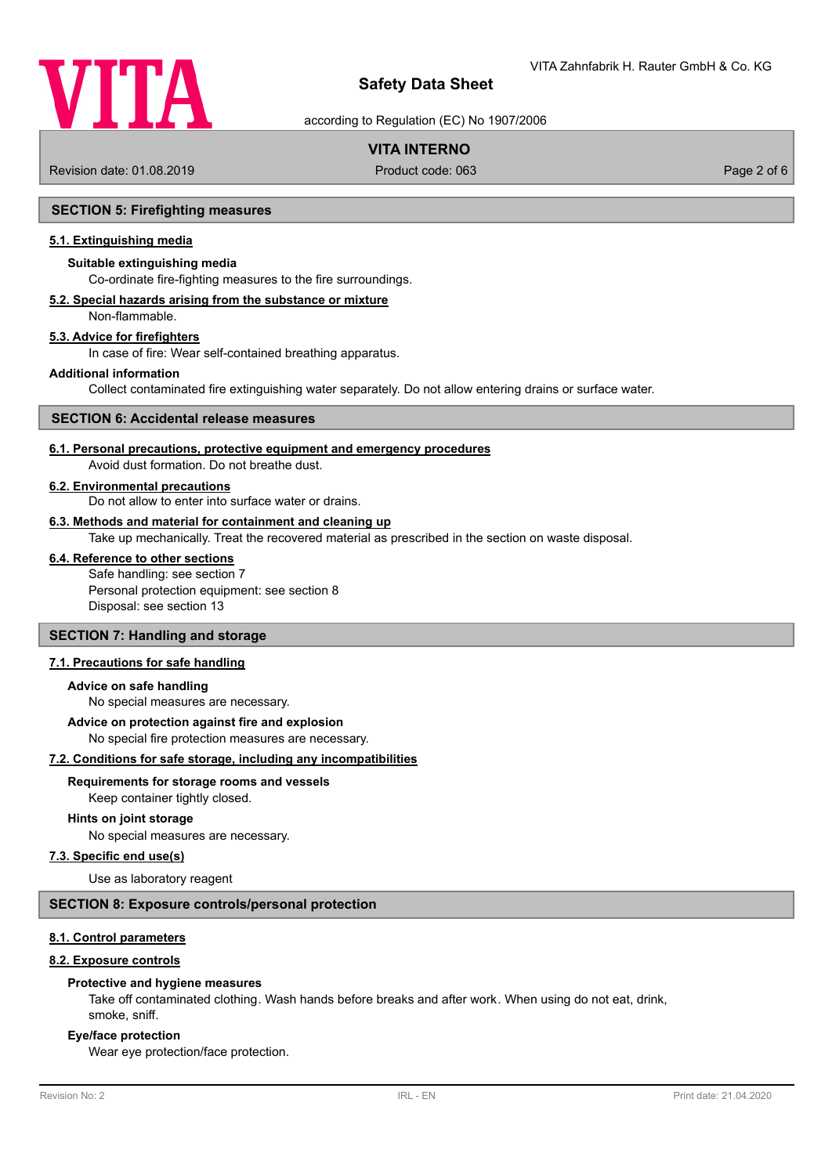

according to Regulation (EC) No 1907/2006

# **VITA INTERNO**

Revision date: 01.08.2019 Product code: 063 Page 2 of 6

## **SECTION 5: Firefighting measures**

#### **5.1. Extinguishing media**

#### **Suitable extinguishing media**

Co-ordinate fire-fighting measures to the fire surroundings.

# **5.2. Special hazards arising from the substance or mixture**

Non-flammable.

# **5.3. Advice for firefighters**

In case of fire: Wear self-contained breathing apparatus.

#### **Additional information**

Collect contaminated fire extinguishing water separately. Do not allow entering drains or surface water.

#### **SECTION 6: Accidental release measures**

## **6.1. Personal precautions, protective equipment and emergency procedures**

Avoid dust formation. Do not breathe dust.

#### **6.2. Environmental precautions**

Do not allow to enter into surface water or drains.

#### **6.3. Methods and material for containment and cleaning up**

Take up mechanically. Treat the recovered material as prescribed in the section on waste disposal.

## **6.4. Reference to other sections**

Safe handling: see section 7 Personal protection equipment: see section 8 Disposal: see section 13

## **SECTION 7: Handling and storage**

## **7.1. Precautions for safe handling**

#### **Advice on safe handling**

No special measures are necessary.

#### **Advice on protection against fire and explosion**

No special fire protection measures are necessary.

#### **7.2. Conditions for safe storage, including any incompatibilities**

#### **Requirements for storage rooms and vessels**

Keep container tightly closed.

#### **Hints on joint storage**

No special measures are necessary.

#### **7.3. Specific end use(s)**

Use as laboratory reagent

#### **SECTION 8: Exposure controls/personal protection**

#### **8.1. Control parameters**

#### **8.2. Exposure controls**

#### **Protective and hygiene measures**

Take off contaminated clothing. Wash hands before breaks and after work. When using do not eat, drink, smoke, sniff.

#### **Eye/face protection**

Wear eye protection/face protection.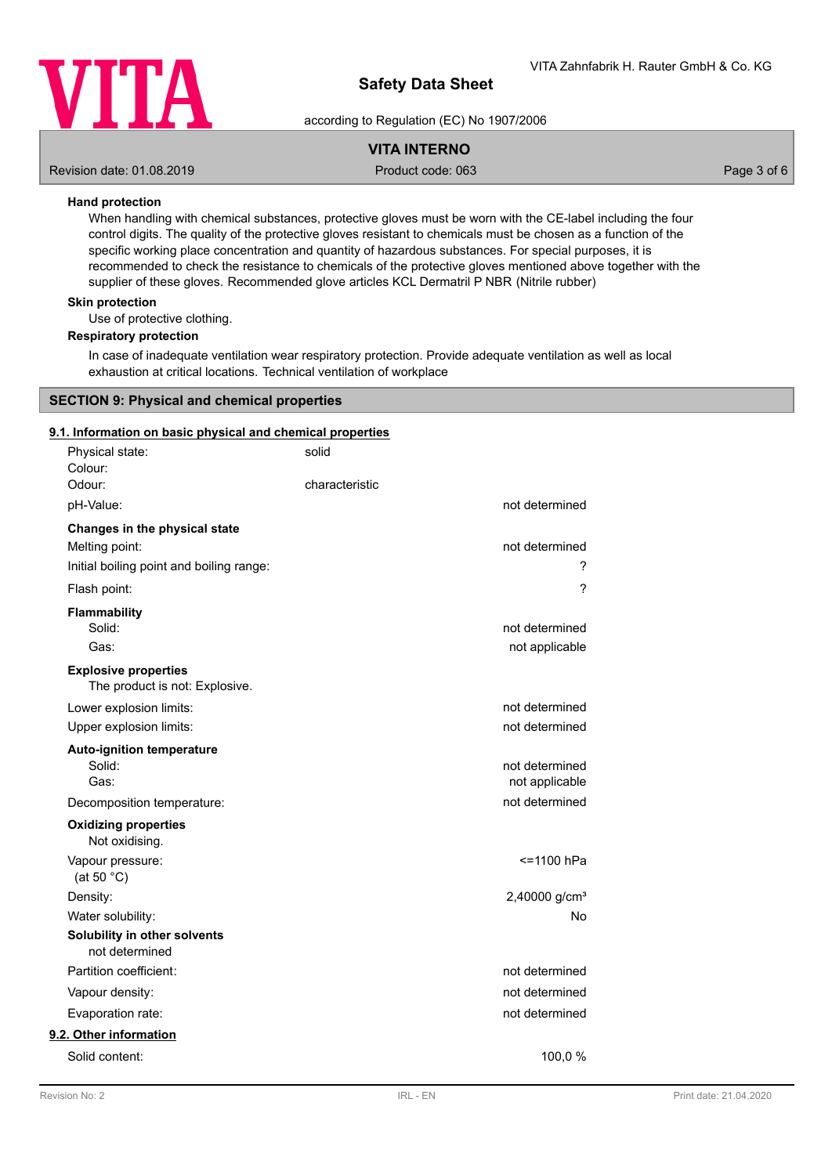

according to Regulation (EC) No 1907/2006

# **VITA INTERNO**

Revision date: 01.08.2019 Product code: 063 Page 3 of 6

## **Hand protection**

When handling with chemical substances, protective gloves must be worn with the CE-label including the four control digits. The quality of the protective gloves resistant to chemicals must be chosen as a function of the specific working place concentration and quantity of hazardous substances. For special purposes, it is recommended to check the resistance to chemicals of the protective gloves mentioned above together with the supplier of these gloves. Recommended glove articles KCL Dermatril P NBR (Nitrile rubber)

### **Skin protection**

Use of protective clothing.

#### **Respiratory protection**

In case of inadequate ventilation wear respiratory protection. Provide adequate ventilation as well as local exhaustion at critical locations. Technical ventilation of workplace

## **SECTION 9: Physical and chemical properties**

## **9.1. Information on basic physical and chemical properties**

| Physical state:<br>Colour:                                    | solid          |                           |
|---------------------------------------------------------------|----------------|---------------------------|
| Odour:                                                        | characteristic |                           |
| pH-Value:                                                     |                | not determined            |
| Changes in the physical state                                 |                |                           |
| Melting point:                                                |                | not determined            |
| Initial boiling point and boiling range:                      |                | ?                         |
| Flash point:                                                  |                | ?                         |
| Flammability                                                  |                |                           |
| Solid:                                                        |                | not determined            |
| Gas:                                                          |                | not applicable            |
| <b>Explosive properties</b><br>The product is not: Explosive. |                |                           |
| Lower explosion limits:                                       |                | not determined            |
| Upper explosion limits:                                       |                | not determined            |
| <b>Auto-ignition temperature</b>                              |                |                           |
| Solid:                                                        |                | not determined            |
| Gas:                                                          |                | not applicable            |
| Decomposition temperature:                                    |                | not determined            |
| <b>Oxidizing properties</b><br>Not oxidising.                 |                |                           |
| Vapour pressure:<br>(at 50 $°C$ )                             |                | <=1100 hPa                |
| Density:                                                      |                | 2,40000 g/cm <sup>3</sup> |
| Water solubility:                                             |                | No                        |
| Solubility in other solvents<br>not determined                |                |                           |
| Partition coefficient:                                        |                | not determined            |
| Vapour density:                                               |                | not determined            |
| Evaporation rate:                                             |                | not determined            |
| 9.2. Other information                                        |                |                           |
| Solid content:                                                |                | 100,0 %                   |
|                                                               |                |                           |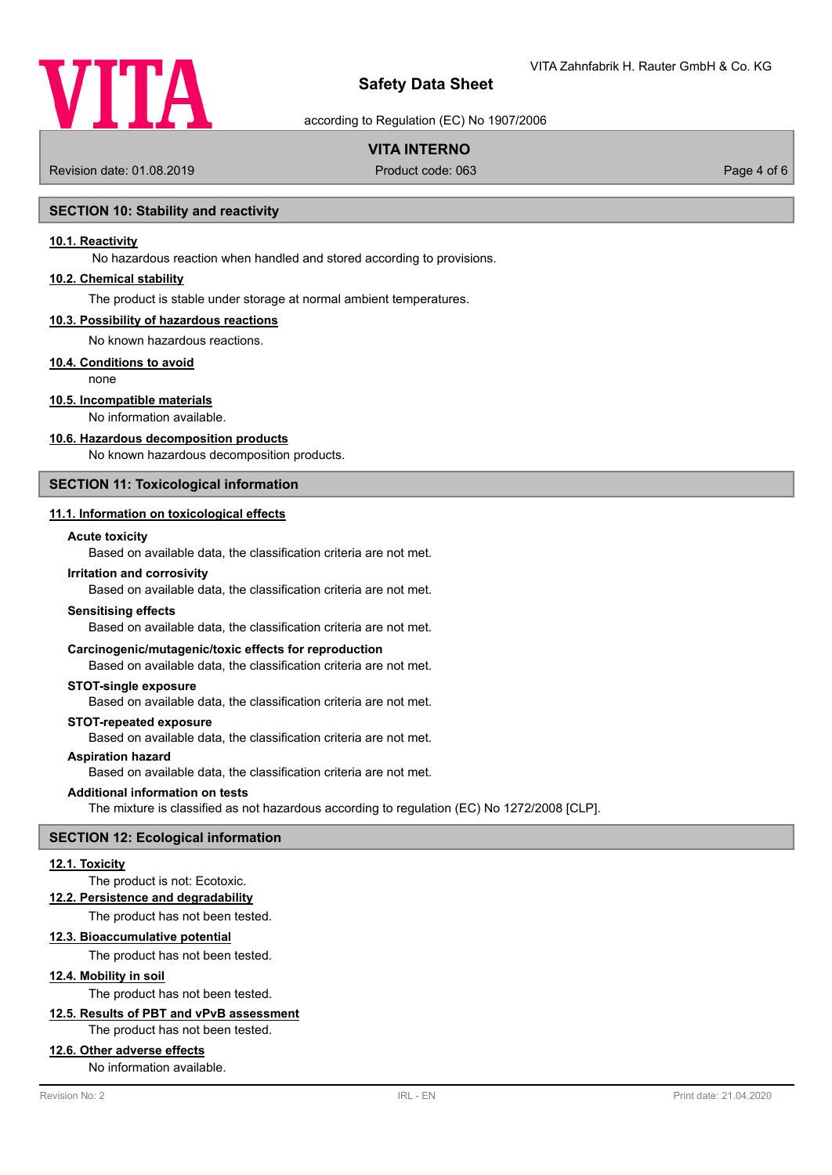

according to Regulation (EC) No 1907/2006

# **VITA INTERNO**

Revision date: 01.08.2019 Product code: 063 Page 4 of 6

## **SECTION 10: Stability and reactivity**

## **10.1. Reactivity**

No hazardous reaction when handled and stored according to provisions.

## **10.2. Chemical stability**

The product is stable under storage at normal ambient temperatures.

#### **10.3. Possibility of hazardous reactions**

No known hazardous reactions.

#### **10.4. Conditions to avoid**

none

## **10.5. Incompatible materials**

No information available.

#### **10.6. Hazardous decomposition products**

No known hazardous decomposition products.

## **SECTION 11: Toxicological information**

#### **11.1. Information on toxicological effects**

#### **Acute toxicity**

Based on available data, the classification criteria are not met.

#### **Irritation and corrosivity**

Based on available data, the classification criteria are not met.

#### **Sensitising effects**

Based on available data, the classification criteria are not met.

#### **Carcinogenic/mutagenic/toxic effects for reproduction**

Based on available data, the classification criteria are not met.

#### **STOT-single exposure**

Based on available data, the classification criteria are not met.

#### **STOT-repeated exposure**

Based on available data, the classification criteria are not met.

#### **Aspiration hazard**

Based on available data, the classification criteria are not met.

#### **Additional information on tests**

The mixture is classified as not hazardous according to regulation (EC) No 1272/2008 [CLP].

#### **SECTION 12: Ecological information**

#### **12.1. Toxicity**

#### The product is not: Ecotoxic.

**12.2. Persistence and degradability**

The product has not been tested.

#### **12.3. Bioaccumulative potential**

The product has not been tested.

## **12.4. Mobility in soil**

The product has not been tested.

# **12.5. Results of PBT and vPvB assessment**

The product has not been tested.

### **12.6. Other adverse effects**

No information available.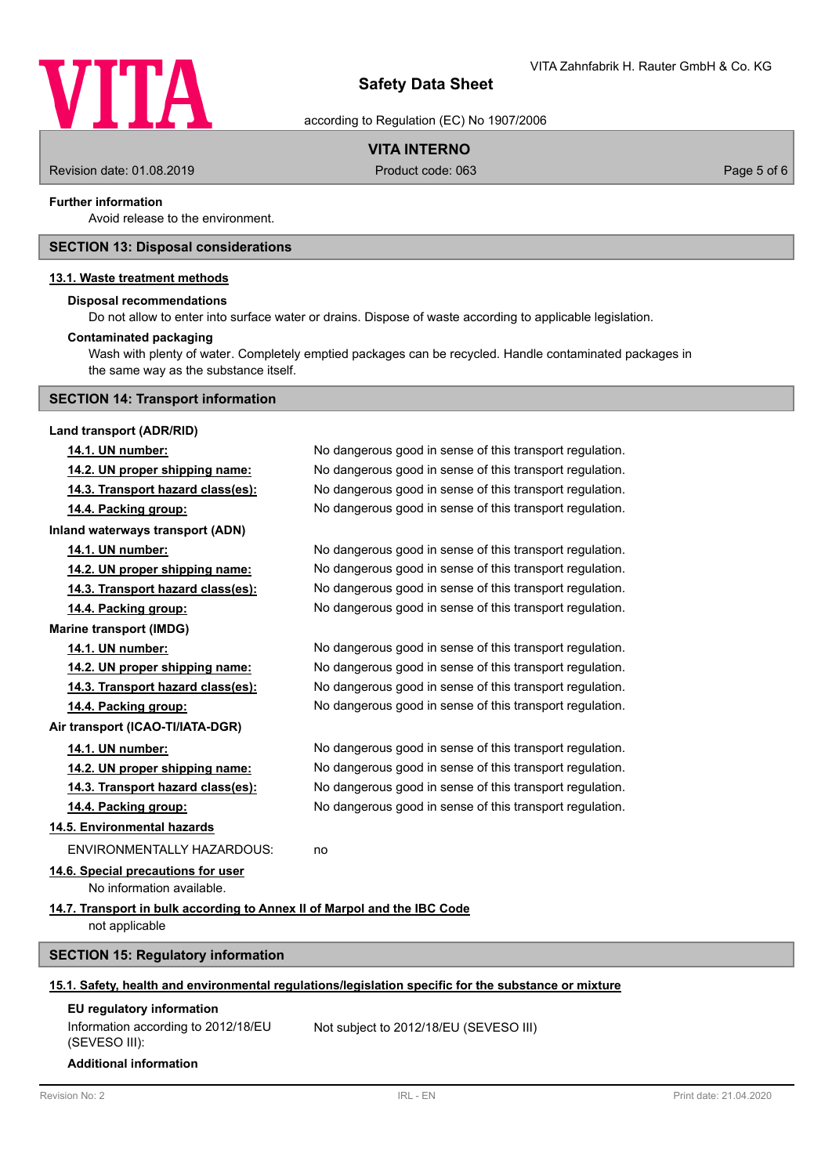

according to Regulation (EC) No 1907/2006

# **VITA INTERNO**

Revision date: 01.08.2019 **Product code: 063** Product code: 063 Page 5 of 6

### **Further information**

Avoid release to the environment.

## **SECTION 13: Disposal considerations**

## **13.1. Waste treatment methods**

#### **Disposal recommendations**

Do not allow to enter into surface water or drains. Dispose of waste according to applicable legislation.

## **Contaminated packaging**

Wash with plenty of water. Completely emptied packages can be recycled. Handle contaminated packages in the same way as the substance itself.

# **SECTION 14: Transport information**

| Land transport (ADR/RID)                                                                             |                                                          |  |  |
|------------------------------------------------------------------------------------------------------|----------------------------------------------------------|--|--|
| 14.1. UN number:                                                                                     | No dangerous good in sense of this transport regulation. |  |  |
| 14.2. UN proper shipping name:                                                                       | No dangerous good in sense of this transport regulation. |  |  |
| 14.3. Transport hazard class(es):                                                                    | No dangerous good in sense of this transport regulation. |  |  |
| 14.4. Packing group:                                                                                 | No dangerous good in sense of this transport regulation. |  |  |
| Inland waterways transport (ADN)                                                                     |                                                          |  |  |
| 14.1. UN number:                                                                                     | No dangerous good in sense of this transport regulation. |  |  |
| 14.2. UN proper shipping name:                                                                       | No dangerous good in sense of this transport regulation. |  |  |
| 14.3. Transport hazard class(es):                                                                    | No dangerous good in sense of this transport regulation. |  |  |
| 14.4. Packing group:                                                                                 | No dangerous good in sense of this transport regulation. |  |  |
| <b>Marine transport (IMDG)</b>                                                                       |                                                          |  |  |
| 14.1. UN number:                                                                                     | No dangerous good in sense of this transport regulation. |  |  |
| 14.2. UN proper shipping name:                                                                       | No dangerous good in sense of this transport regulation. |  |  |
| 14.3. Transport hazard class(es):                                                                    | No dangerous good in sense of this transport regulation. |  |  |
| 14.4. Packing group:                                                                                 | No dangerous good in sense of this transport regulation. |  |  |
| Air transport (ICAO-TI/IATA-DGR)                                                                     |                                                          |  |  |
| 14.1. UN number:                                                                                     | No dangerous good in sense of this transport regulation. |  |  |
| 14.2. UN proper shipping name:                                                                       | No dangerous good in sense of this transport regulation. |  |  |
| 14.3. Transport hazard class(es):                                                                    | No dangerous good in sense of this transport regulation. |  |  |
| 14.4. Packing group:                                                                                 | No dangerous good in sense of this transport regulation. |  |  |
| 14.5. Environmental hazards                                                                          |                                                          |  |  |
| <b>ENVIRONMENTALLY HAZARDOUS:</b>                                                                    | no                                                       |  |  |
| 14.6. Special precautions for user                                                                   |                                                          |  |  |
| No information available.                                                                            |                                                          |  |  |
| 14.7. Transport in bulk according to Annex II of Marpol and the IBC Code                             |                                                          |  |  |
| not applicable                                                                                       |                                                          |  |  |
| <b>SECTION 15: Regulatory information</b>                                                            |                                                          |  |  |
| 15.1. Safety, health and environmental regulations/legislation specific for the substance or mixture |                                                          |  |  |
|                                                                                                      |                                                          |  |  |
| <b>EU</b> regulatory information<br>Information according to 2012/18/EU<br>(SEVESO III):             | Not subject to 2012/18/EU (SEVESO III)                   |  |  |